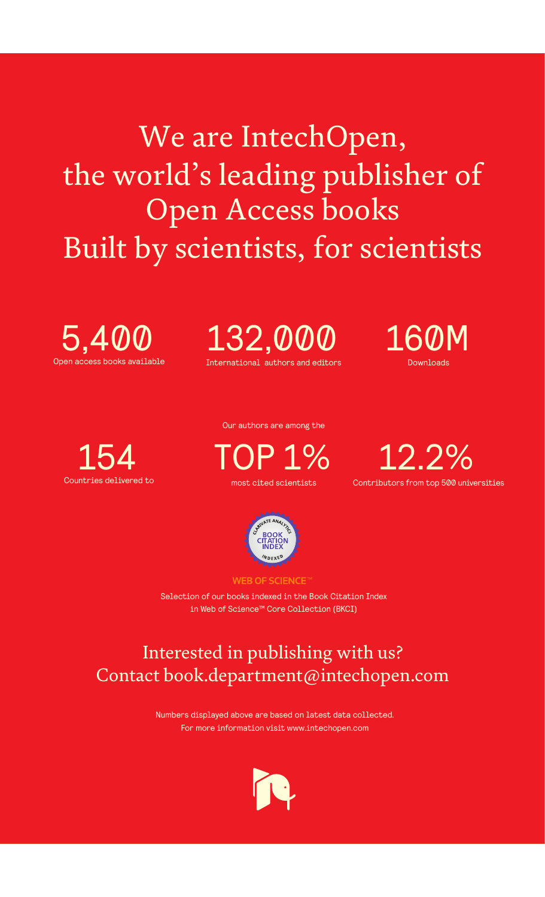We are IntechOpen, the world's leading publisher of Open Access books Built by scientists, for scientists

Open access books available 5,400

International authors and editors 132,000 160M

Downloads



Our authors are among the

most cited scientists TOP 1%





**WEB OF SCIENCE** 

Selection of our books indexed in the Book Citation Index in Web of Science™ Core Collection (BKCI)

## Interested in publishing with us? Contact book.department@intechopen.com

Numbers displayed above are based on latest data collected. For more information visit www.intechopen.com

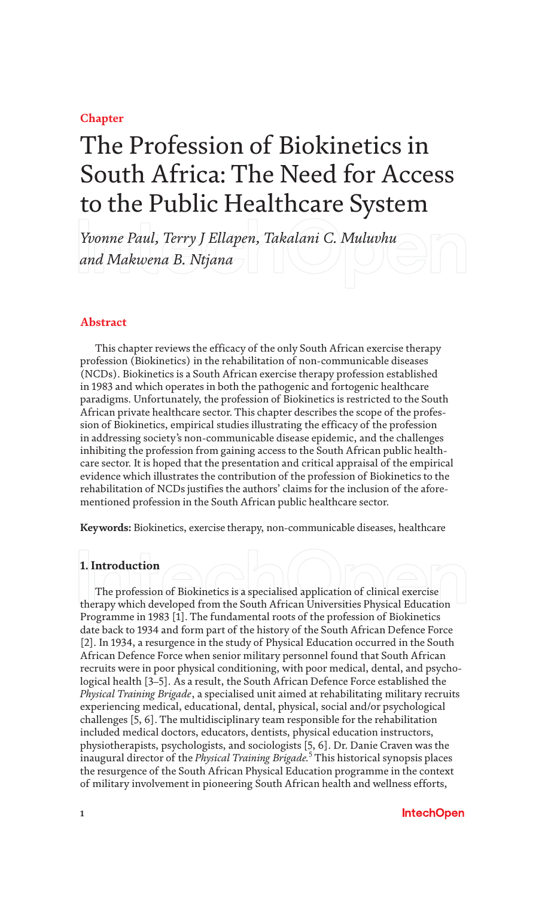#### **Chapter**

# The Profession of Biokinetics in South Africa: The Need for Access to the Public Healthcare System

*Yvonne Paul, Terry J Ellapen, Takalani C. Muluvhu and Makwena B. Ntjana*

#### **Abstract**

This chapter reviews the efficacy of the only South African exercise therapy profession (Biokinetics) in the rehabilitation of non-communicable diseases (NCDs). Biokinetics is a South African exercise therapy profession established in 1983 and which operates in both the pathogenic and fortogenic healthcare paradigms. Unfortunately, the profession of Biokinetics is restricted to the South African private healthcare sector. This chapter describes the scope of the profession of Biokinetics, empirical studies illustrating the efficacy of the profession in addressing society's non-communicable disease epidemic, and the challenges inhibiting the profession from gaining access to the South African public healthcare sector. It is hoped that the presentation and critical appraisal of the empirical evidence which illustrates the contribution of the profession of Biokinetics to the rehabilitation of NCDs justifies the authors' claims for the inclusion of the aforementioned profession in the South African public healthcare sector.

**Keywords:** Biokinetics, exercise therapy, non-communicable diseases, healthcare

#### **1. Introduction**

The profession of Biokinetics is a specialised application of clinical exercise therapy which developed from the South African Universities Physical Education Programme in 1983 [1]. The fundamental roots of the profession of Biokinetics date back to 1934 and form part of the history of the South African Defence Force [2]. In 1934, a resurgence in the study of Physical Education occurred in the South African Defence Force when senior military personnel found that South African recruits were in poor physical conditioning, with poor medical, dental, and psychological health [3–5]. As a result, the South African Defence Force established the *Physical Training Brigade*, a specialised unit aimed at rehabilitating military recruits experiencing medical, educational, dental, physical, social and/or psychological challenges [5, 6]. The multidisciplinary team responsible for the rehabilitation included medical doctors, educators, dentists, physical education instructors, physiotherapists, psychologists, and sociologists [5, 6]. Dr. Danie Craven was the inaugural director of the *Physical Training Brigade.*<sup>5</sup> This historical synopsis places the resurgence of the South African Physical Education programme in the context of military involvement in pioneering South African health and wellness efforts,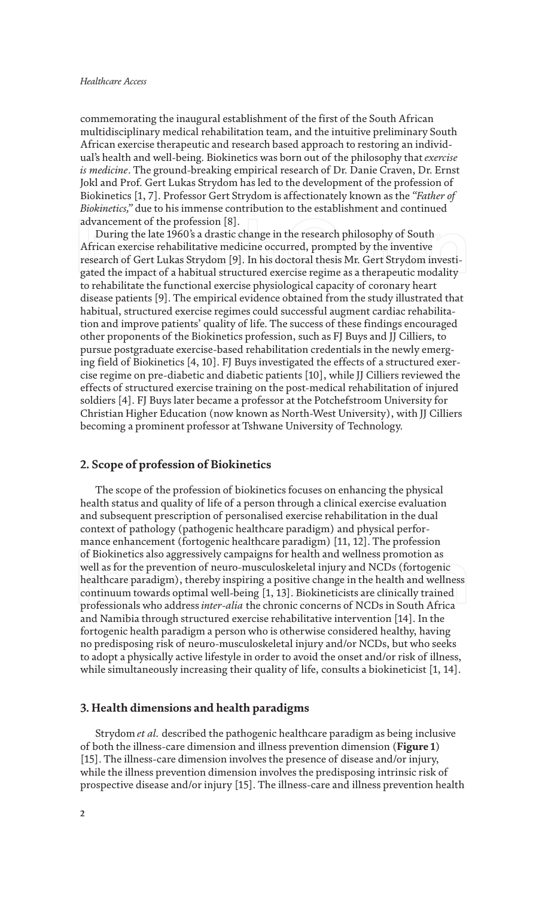commemorating the inaugural establishment of the first of the South African multidisciplinary medical rehabilitation team, and the intuitive preliminary South African exercise therapeutic and research based approach to restoring an individual's health and well-being. Biokinetics was born out of the philosophy that *exercise is medicine*. The ground-breaking empirical research of Dr. Danie Craven, Dr. Ernst Jokl and Prof. Gert Lukas Strydom has led to the development of the profession of Biokinetics [1, 7]. Professor Gert Strydom is affectionately known as the *"Father of Biokinetics,"* due to his immense contribution to the establishment and continued advancement of the profession [8].

During the late 1960's a drastic change in the research philosophy of South African exercise rehabilitative medicine occurred, prompted by the inventive research of Gert Lukas Strydom [9]. In his doctoral thesis Mr. Gert Strydom investigated the impact of a habitual structured exercise regime as a therapeutic modality to rehabilitate the functional exercise physiological capacity of coronary heart disease patients [9]. The empirical evidence obtained from the study illustrated that habitual, structured exercise regimes could successful augment cardiac rehabilitation and improve patients' quality of life. The success of these findings encouraged other proponents of the Biokinetics profession, such as FJ Buys and JJ Cilliers, to pursue postgraduate exercise-based rehabilitation credentials in the newly emerging field of Biokinetics [4, 10]. FJ Buys investigated the effects of a structured exercise regime on pre-diabetic and diabetic patients [10], while JJ Cilliers reviewed the effects of structured exercise training on the post-medical rehabilitation of injured soldiers [4]. FJ Buys later became a professor at the Potchefstroom University for Christian Higher Education (now known as North-West University), with JJ Cilliers becoming a prominent professor at Tshwane University of Technology.

#### **2. Scope of profession of Biokinetics**

The scope of the profession of biokinetics focuses on enhancing the physical health status and quality of life of a person through a clinical exercise evaluation and subsequent prescription of personalised exercise rehabilitation in the dual context of pathology (pathogenic healthcare paradigm) and physical performance enhancement (fortogenic healthcare paradigm) [11, 12]. The profession of Biokinetics also aggressively campaigns for health and wellness promotion as well as for the prevention of neuro-musculoskeletal injury and NCDs (fortogenic healthcare paradigm), thereby inspiring a positive change in the health and wellness continuum towards optimal well-being [1, 13]. Biokineticists are clinically trained professionals who address *inter*-*alia* the chronic concerns of NCDs in South Africa and Namibia through structured exercise rehabilitative intervention [14]. In the fortogenic health paradigm a person who is otherwise considered healthy, having no predisposing risk of neuro-musculoskeletal injury and/or NCDs, but who seeks to adopt a physically active lifestyle in order to avoid the onset and/or risk of illness, while simultaneously increasing their quality of life, consults a biokineticist [1, 14].

#### **3. Health dimensions and health paradigms**

Strydom *et al.* described the pathogenic healthcare paradigm as being inclusive of both the illness-care dimension and illness prevention dimension (**Figure 1**) [15]. The illness-care dimension involves the presence of disease and/or injury, while the illness prevention dimension involves the predisposing intrinsic risk of prospective disease and/or injury [15]. The illness-care and illness prevention health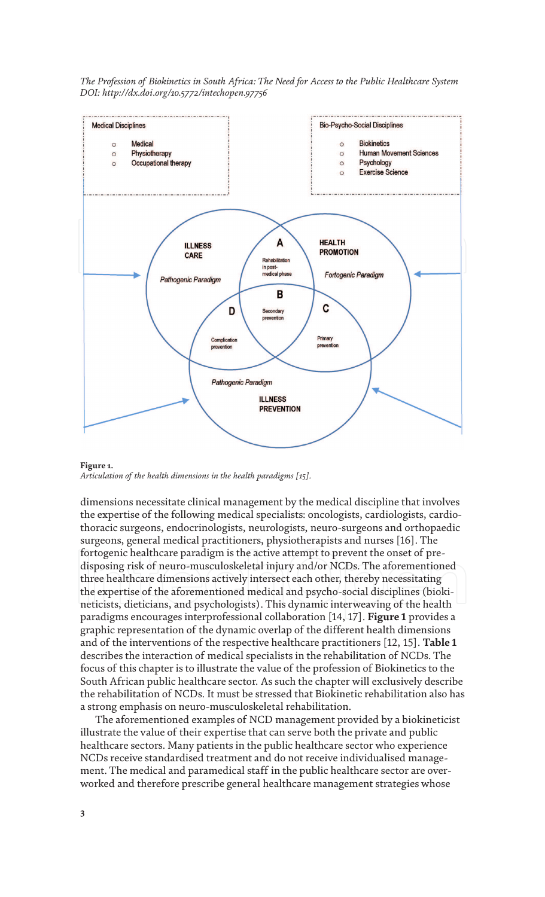

**Figure 1.** *Articulation of the health dimensions in the health paradigms [15].*

dimensions necessitate clinical management by the medical discipline that involves the expertise of the following medical specialists: oncologists, cardiologists, cardiothoracic surgeons, endocrinologists, neurologists, neuro-surgeons and orthopaedic surgeons, general medical practitioners, physiotherapists and nurses [16]. The fortogenic healthcare paradigm is the active attempt to prevent the onset of predisposing risk of neuro-musculoskeletal injury and/or NCDs. The aforementioned three healthcare dimensions actively intersect each other, thereby necessitating the expertise of the aforementioned medical and psycho-social disciplines (biokineticists, dieticians, and psychologists). This dynamic interweaving of the health paradigms encourages interprofessional collaboration [14, 17]. **Figure 1** provides a graphic representation of the dynamic overlap of the different health dimensions and of the interventions of the respective healthcare practitioners [12, 15]. **Table 1** describes the interaction of medical specialists in the rehabilitation of NCDs. The focus of this chapter is to illustrate the value of the profession of Biokinetics to the South African public healthcare sector. As such the chapter will exclusively describe the rehabilitation of NCDs. It must be stressed that Biokinetic rehabilitation also has a strong emphasis on neuro-musculoskeletal rehabilitation.

The aforementioned examples of NCD management provided by a biokineticist illustrate the value of their expertise that can serve both the private and public healthcare sectors. Many patients in the public healthcare sector who experience NCDs receive standardised treatment and do not receive individualised management. The medical and paramedical staff in the public healthcare sector are overworked and therefore prescribe general healthcare management strategies whose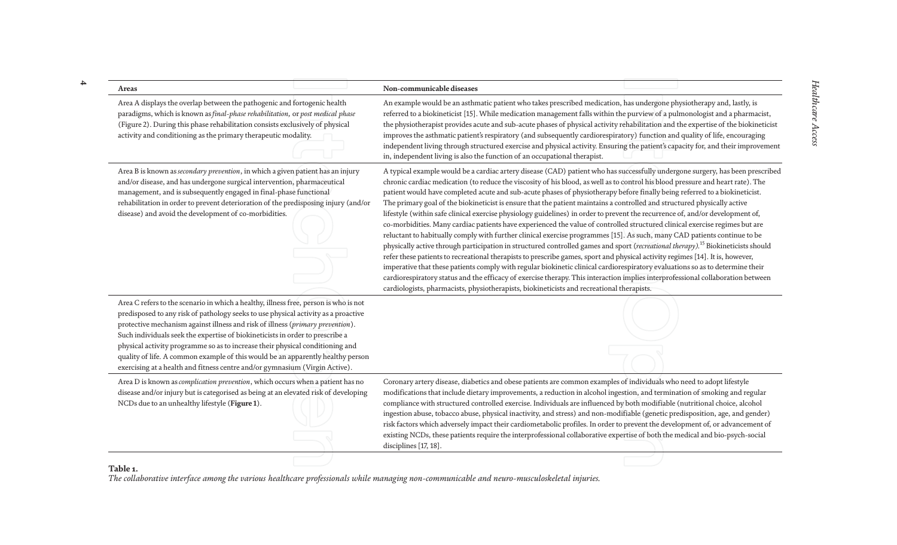| Areas                                                                                                                                                                                                                                                                                                                                                                                                                                                                                                                                                                                            | Non-communicable diseases                                                                                                                                                                                                                                                                                                                                                                                                                                                                                                                                                                                                                                                                                                                                                                                                                                                                                                                                                                                                                                                                                                                                                                                                                                                                                                                                                                                                                                                                                                                                                |  |
|--------------------------------------------------------------------------------------------------------------------------------------------------------------------------------------------------------------------------------------------------------------------------------------------------------------------------------------------------------------------------------------------------------------------------------------------------------------------------------------------------------------------------------------------------------------------------------------------------|--------------------------------------------------------------------------------------------------------------------------------------------------------------------------------------------------------------------------------------------------------------------------------------------------------------------------------------------------------------------------------------------------------------------------------------------------------------------------------------------------------------------------------------------------------------------------------------------------------------------------------------------------------------------------------------------------------------------------------------------------------------------------------------------------------------------------------------------------------------------------------------------------------------------------------------------------------------------------------------------------------------------------------------------------------------------------------------------------------------------------------------------------------------------------------------------------------------------------------------------------------------------------------------------------------------------------------------------------------------------------------------------------------------------------------------------------------------------------------------------------------------------------------------------------------------------------|--|
| Area A displays the overlap between the pathogenic and fortogenic health<br>paradigms, which is known as final-phase rehabilitation, or post medical phase<br>(Figure 2). During this phase rehabilitation consists exclusively of physical<br>activity and conditioning as the primary therapeutic modality.                                                                                                                                                                                                                                                                                    | An example would be an asthmatic patient who takes prescribed medication, has undergone physiotherapy and, lastly, is<br>referred to a biokineticist [15]. While medication management falls within the purview of a pulmonologist and a pharmacist,<br>the physiotherapist provides acute and sub-acute phases of physical activity rehabilitation and the expertise of the biokineticist<br>improves the asthmatic patient's respiratory (and subsequently cardiorespiratory) function and quality of life, encouraging<br>independent living through structured exercise and physical activity. Ensuring the patient's capacity for, and their improvement<br>in, independent living is also the function of an occupational therapist.                                                                                                                                                                                                                                                                                                                                                                                                                                                                                                                                                                                                                                                                                                                                                                                                                               |  |
| Area B is known as secondary prevention, in which a given patient has an injury<br>and/or disease, and has undergone surgical intervention, pharmaceutical<br>management, and is subsequently engaged in final-phase functional<br>rehabilitation in order to prevent deterioration of the predisposing injury (and/or<br>disease) and avoid the development of co-morbidities.                                                                                                                                                                                                                  | A typical example would be a cardiac artery disease (CAD) patient who has successfully undergone surgery, has been prescribed<br>chronic cardiac medication (to reduce the viscosity of his blood, as well as to control his blood pressure and heart rate). The<br>patient would have completed acute and sub-acute phases of physiotherapy before finally being referred to a biokineticist.<br>The primary goal of the biokineticist is ensure that the patient maintains a controlled and structured physically active<br>lifestyle (within safe clinical exercise physiology guidelines) in order to prevent the recurrence of, and/or development of,<br>co-morbidities. Many cardiac patients have experienced the value of controlled structured clinical exercise regimes but are<br>reluctant to habitually comply with further clinical exercise programmes [15]. As such, many CAD patients continue to be<br>physically active through participation in structured controlled games and sport (recreational therapy). <sup>15</sup> Biokineticists should<br>refer these patients to recreational therapists to prescribe games, sport and physical activity regimes [14]. It is, however,<br>imperative that these patients comply with regular biokinetic clinical cardiorespiratory evaluations so as to determine their<br>cardiorespiratory status and the efficacy of exercise therapy. This interaction implies interprofessional collaboration between<br>cardiologists, pharmacists, physiotherapists, biokineticists and recreational therapists. |  |
| Area C refers to the scenario in which a healthy, illness free, person is who is not<br>predisposed to any risk of pathology seeks to use physical activity as a proactive<br>protective mechanism against illness and risk of illness (primary prevention).<br>Such individuals seek the expertise of biokineticists in order to prescribe a<br>physical activity programme so as to increase their physical conditioning and<br>quality of life. A common example of this would be an apparently healthy person<br>exercising at a health and fitness centre and/or gymnasium (Virgin Active). |                                                                                                                                                                                                                                                                                                                                                                                                                                                                                                                                                                                                                                                                                                                                                                                                                                                                                                                                                                                                                                                                                                                                                                                                                                                                                                                                                                                                                                                                                                                                                                          |  |
| Area D is known as complication prevention, which occurs when a patient has no<br>disease and/or injury but is categorised as being at an elevated risk of developing<br>NCDs due to an unhealthy lifestyle (Figure 1).                                                                                                                                                                                                                                                                                                                                                                          | Coronary artery disease, diabetics and obese patients are common examples of individuals who need to adopt lifestyle<br>modifications that include dietary improvements, a reduction in alcohol ingestion, and termination of smoking and regular<br>compliance with structured controlled exercise. Individuals are influenced by both modifiable (nutritional choice, alcohol<br>ingestion abuse, tobacco abuse, physical inactivity, and stress) and non-modifiable (genetic predisposition, age, and gender)<br>risk factors which adversely impact their cardiometabolic profiles. In order to prevent the development of, or advancement of<br>existing NCDs, these patients require the interprofessional collaborative expertise of both the medical and bio-psych-social<br>disciplines [17, 18].                                                                                                                                                                                                                                                                                                                                                                                                                                                                                                                                                                                                                                                                                                                                                               |  |

**Table 1.** *The collaborative interface among the various healthcare professionals while managing non-communicable and neuro-musculoskeletal injuries.*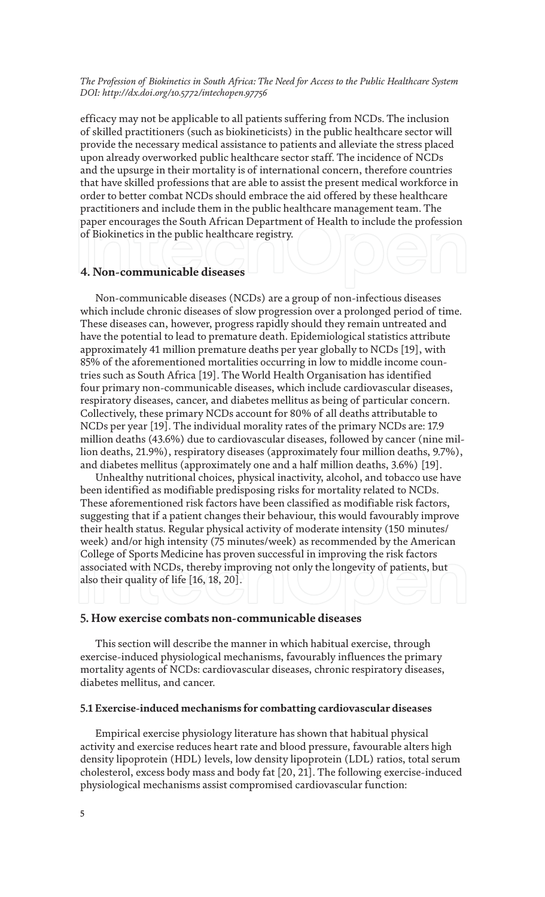efficacy may not be applicable to all patients suffering from NCDs. The inclusion of skilled practitioners (such as biokineticists) in the public healthcare sector will provide the necessary medical assistance to patients and alleviate the stress placed upon already overworked public healthcare sector staff. The incidence of NCDs and the upsurge in their mortality is of international concern, therefore countries that have skilled professions that are able to assist the present medical workforce in order to better combat NCDs should embrace the aid offered by these healthcare practitioners and include them in the public healthcare management team. The paper encourages the South African Department of Health to include the profession of Biokinetics in the public healthcare registry.

#### **4. Non-communicable diseases**

Non-communicable diseases (NCDs) are a group of non-infectious diseases which include chronic diseases of slow progression over a prolonged period of time. These diseases can, however, progress rapidly should they remain untreated and have the potential to lead to premature death. Epidemiological statistics attribute approximately 41 million premature deaths per year globally to NCDs [19], with 85% of the aforementioned mortalities occurring in low to middle income countries such as South Africa [19]. The World Health Organisation has identified four primary non-communicable diseases, which include cardiovascular diseases, respiratory diseases, cancer, and diabetes mellitus as being of particular concern. Collectively, these primary NCDs account for 80% of all deaths attributable to NCDs per year [19]. The individual morality rates of the primary NCDs are: 17.9 million deaths (43.6%) due to cardiovascular diseases, followed by cancer (nine million deaths, 21.9%), respiratory diseases (approximately four million deaths, 9.7%), and diabetes mellitus (approximately one and a half million deaths, 3.6%) [19].

Unhealthy nutritional choices, physical inactivity, alcohol, and tobacco use have been identified as modifiable predisposing risks for mortality related to NCDs. These aforementioned risk factors have been classified as modifiable risk factors, suggesting that if a patient changes their behaviour, this would favourably improve their health status. Regular physical activity of moderate intensity (150 minutes/ week) and/or high intensity (75 minutes/week) as recommended by the American College of Sports Medicine has proven successful in improving the risk factors associated with NCDs, thereby improving not only the longevity of patients, but also their quality of life [16, 18, 20].

#### **5. How exercise combats non-communicable diseases**

This section will describe the manner in which habitual exercise, through exercise-induced physiological mechanisms, favourably influences the primary mortality agents of NCDs: cardiovascular diseases, chronic respiratory diseases, diabetes mellitus, and cancer.

#### **5.1 Exercise-induced mechanisms for combatting cardiovascular diseases**

Empirical exercise physiology literature has shown that habitual physical activity and exercise reduces heart rate and blood pressure, favourable alters high density lipoprotein (HDL) levels, low density lipoprotein (LDL) ratios, total serum cholesterol, excess body mass and body fat [20, 21]. The following exercise-induced physiological mechanisms assist compromised cardiovascular function: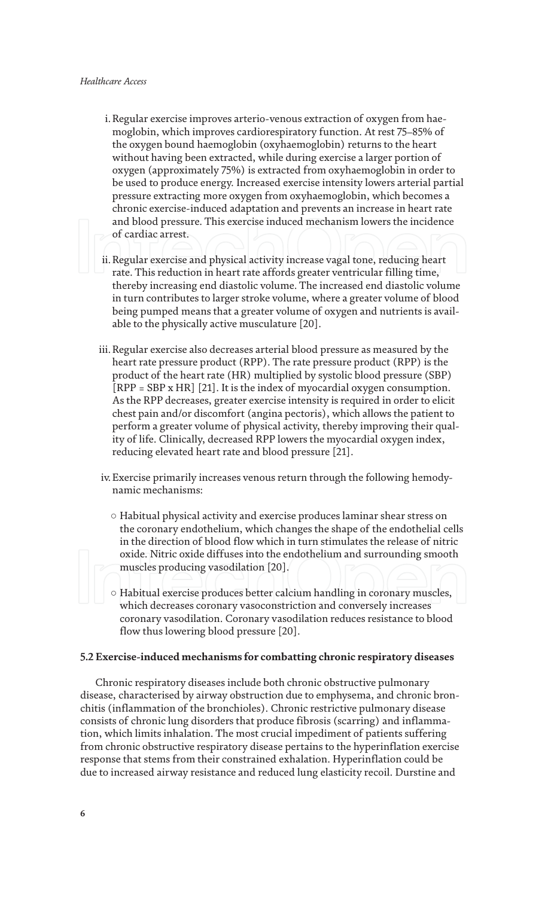- i. Regular exercise improves arterio-venous extraction of oxygen from haemoglobin, which improves cardiorespiratory function. At rest 75–85% of the oxygen bound haemoglobin (oxyhaemoglobin) returns to the heart without having been extracted, while during exercise a larger portion of oxygen (approximately 75%) is extracted from oxyhaemoglobin in order to be used to produce energy. Increased exercise intensity lowers arterial partial pressure extracting more oxygen from oxyhaemoglobin, which becomes a chronic exercise-induced adaptation and prevents an increase in heart rate and blood pressure. This exercise induced mechanism lowers the incidence of cardiac arrest.
- ii. Regular exercise and physical activity increase vagal tone, reducing heart rate. This reduction in heart rate affords greater ventricular filling time, thereby increasing end diastolic volume. The increased end diastolic volume in turn contributes to larger stroke volume, where a greater volume of blood being pumped means that a greater volume of oxygen and nutrients is available to the physically active musculature [20].
- iii. Regular exercise also decreases arterial blood pressure as measured by the heart rate pressure product (RPP). The rate pressure product (RPP) is the product of the heart rate (HR) multiplied by systolic blood pressure (SBP) [RPP = SBP x HR] [21]. It is the index of myocardial oxygen consumption. As the RPP decreases, greater exercise intensity is required in order to elicit chest pain and/or discomfort (angina pectoris), which allows the patient to perform a greater volume of physical activity, thereby improving their quality of life. Clinically, decreased RPP lowers the myocardial oxygen index, reducing elevated heart rate and blood pressure [21].
- iv. Exercise primarily increases venous return through the following hemodynamic mechanisms:
	- Habitual physical activity and exercise produces laminar shear stress on the coronary endothelium, which changes the shape of the endothelial cells in the direction of blood flow which in turn stimulates the release of nitric oxide. Nitric oxide diffuses into the endothelium and surrounding smooth muscles producing vasodilation [20].
	- Habitual exercise produces better calcium handling in coronary muscles, which decreases coronary vasoconstriction and conversely increases coronary vasodilation. Coronary vasodilation reduces resistance to blood flow thus lowering blood pressure [20].

#### **5.2 Exercise-induced mechanisms for combatting chronic respiratory diseases**

Chronic respiratory diseases include both chronic obstructive pulmonary disease, characterised by airway obstruction due to emphysema, and chronic bronchitis (inflammation of the bronchioles). Chronic restrictive pulmonary disease consists of chronic lung disorders that produce fibrosis (scarring) and inflammation, which limits inhalation. The most crucial impediment of patients suffering from chronic obstructive respiratory disease pertains to the hyperinflation exercise response that stems from their constrained exhalation. Hyperinflation could be due to increased airway resistance and reduced lung elasticity recoil. Durstine and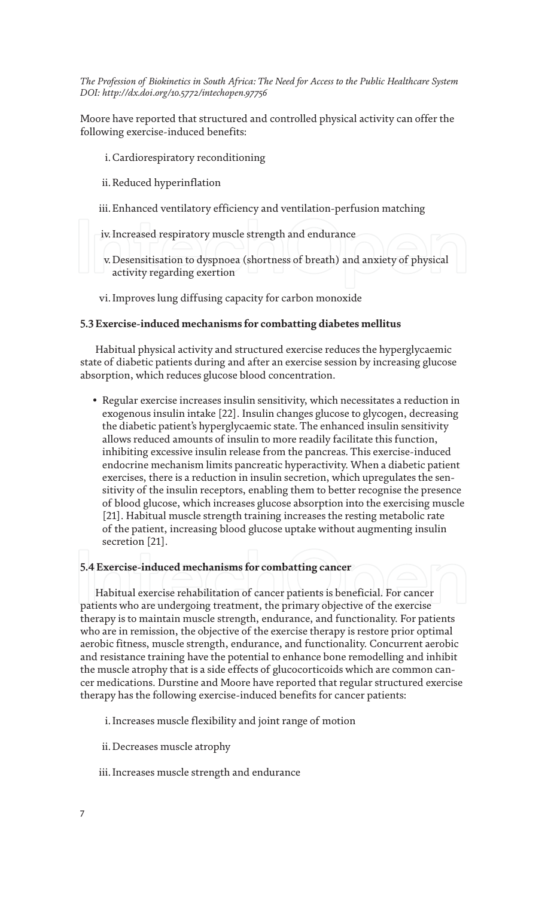Moore have reported that structured and controlled physical activity can offer the following exercise-induced benefits:

#### i. Cardiorespiratory reconditioning

ii. Reduced hyperinflation

- iii. Enhanced ventilatory efficiency and ventilation-perfusion matching
- iv. Increased respiratory muscle strength and endurance
- v. Desensitisation to dyspnoea (shortness of breath) and anxiety of physical activity regarding exertion
- vi. Improves lung diffusing capacity for carbon monoxide

#### **5.3 Exercise-induced mechanisms for combatting diabetes mellitus**

Habitual physical activity and structured exercise reduces the hyperglycaemic state of diabetic patients during and after an exercise session by increasing glucose absorption, which reduces glucose blood concentration.

• Regular exercise increases insulin sensitivity, which necessitates a reduction in exogenous insulin intake [22]. Insulin changes glucose to glycogen, decreasing the diabetic patient's hyperglycaemic state. The enhanced insulin sensitivity allows reduced amounts of insulin to more readily facilitate this function, inhibiting excessive insulin release from the pancreas. This exercise-induced endocrine mechanism limits pancreatic hyperactivity. When a diabetic patient exercises, there is a reduction in insulin secretion, which upregulates the sensitivity of the insulin receptors, enabling them to better recognise the presence of blood glucose, which increases glucose absorption into the exercising muscle [21]. Habitual muscle strength training increases the resting metabolic rate of the patient, increasing blood glucose uptake without augmenting insulin secretion [21].

#### **5.4 Exercise-induced mechanisms for combatting cancer**

Habitual exercise rehabilitation of cancer patients is beneficial. For cancer patients who are undergoing treatment, the primary objective of the exercise therapy is to maintain muscle strength, endurance, and functionality. For patients who are in remission, the objective of the exercise therapy is restore prior optimal aerobic fitness, muscle strength, endurance, and functionality. Concurrent aerobic and resistance training have the potential to enhance bone remodelling and inhibit the muscle atrophy that is a side effects of glucocorticoids which are common cancer medications. Durstine and Moore have reported that regular structured exercise therapy has the following exercise-induced benefits for cancer patients:

- i. Increases muscle flexibility and joint range of motion
- ii. Decreases muscle atrophy
- iii. Increases muscle strength and endurance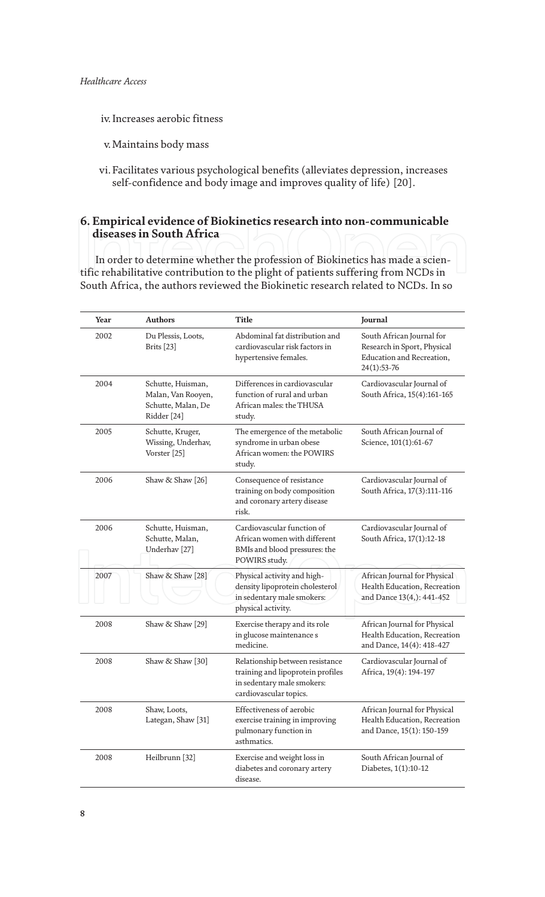- iv. Increases aerobic fitness
- v. Maintains body mass
- vi. Facilitates various psychological benefits (alleviates depression, increases self-confidence and body image and improves quality of life) [20].

#### **6. Empirical evidence of Biokinetics research into non-communicable diseases in South Africa**

In order to determine whether the profession of Biokinetics has made a scientific rehabilitative contribution to the plight of patients suffering from NCDs in South Africa, the authors reviewed the Biokinetic research related to NCDs. In so

| Year | <b>Authors</b>                                                               | <b>Title</b>                                                                                                                 | Journal                                                                                                |
|------|------------------------------------------------------------------------------|------------------------------------------------------------------------------------------------------------------------------|--------------------------------------------------------------------------------------------------------|
| 2002 | Du Plessis, Loots,<br>Brits [23]                                             | Abdominal fat distribution and<br>cardiovascular risk factors in<br>hypertensive females.                                    | South African Journal for<br>Research in Sport, Physical<br>Education and Recreation,<br>$24(1):53-76$ |
| 2004 | Schutte, Huisman,<br>Malan, Van Rooyen,<br>Schutte, Malan, De<br>Ridder [24] | Differences in cardiovascular<br>function of rural and urban<br>African males: the THUSA<br>study.                           | Cardiovascular Journal of<br>South Africa, 15(4):161-165                                               |
| 2005 | Schutte, Kruger,<br>Wissing, Underhav,<br>Vorster [25]                       | The emergence of the metabolic<br>syndrome in urban obese<br>African women: the POWIRS<br>study.                             | South African Journal of<br>Science, 101(1):61-67                                                      |
| 2006 | Shaw & Shaw [26]                                                             | Consequence of resistance<br>training on body composition<br>and coronary artery disease<br>risk.                            | Cardiovascular Journal of<br>South Africa, 17(3):111-116                                               |
| 2006 | Schutte, Huisman,<br>Schutte, Malan,<br>Underhav <sup>[27]</sup>             | Cardiovascular function of<br>African women with different<br>BMIs and blood pressures: the<br>POWIRS study.                 | Cardiovascular Journal of<br>South Africa, 17(1):12-18                                                 |
| 2007 | Shaw & Shaw [28]                                                             | Physical activity and high-<br>density lipoprotein cholesterol<br>in sedentary male smokers:<br>physical activity.           | African Journal for Physical<br>Health Education, Recreation<br>and Dance 13(4,): 441-452              |
| 2008 | Shaw & Shaw [29]                                                             | Exercise therapy and its role<br>in glucose maintenance s<br>medicine.                                                       | African Journal for Physical<br>Health Education, Recreation<br>and Dance, 14(4): 418-427              |
| 2008 | Shaw & Shaw [30]                                                             | Relationship between resistance<br>training and lipoprotein profiles<br>in sedentary male smokers:<br>cardiovascular topics. | Cardiovascular Journal of<br>Africa, 19(4): 194-197                                                    |
| 2008 | Shaw, Loots,<br>Lategan, Shaw <sup>[31]</sup>                                | Effectiveness of aerobic<br>exercise training in improving<br>pulmonary function in<br>asthmatics.                           | African Journal for Physical<br>Health Education, Recreation<br>and Dance, 15(1): 150-159              |
| 2008 | Heilbrunn [32]                                                               | Exercise and weight loss in<br>diabetes and coronary artery<br>disease.                                                      | South African Journal of<br>Diabetes, 1(1):10-12                                                       |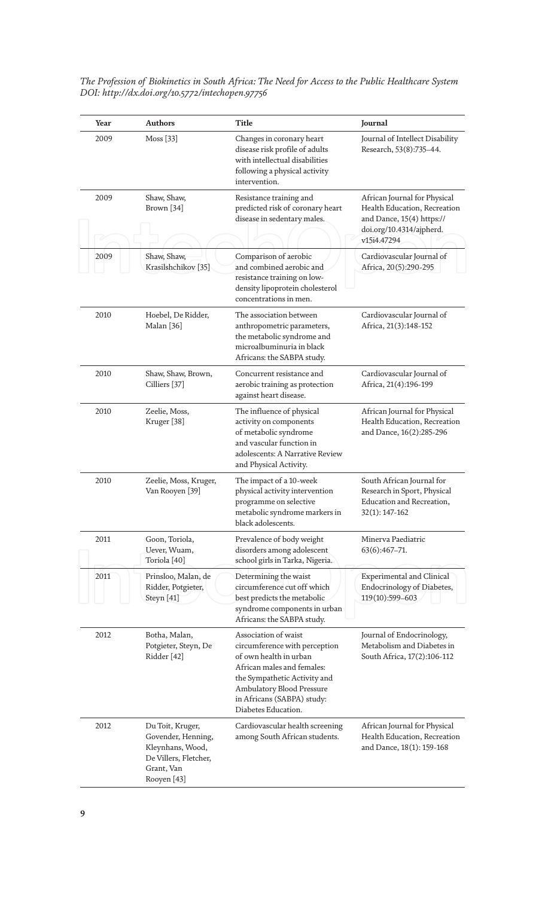| Year | <b>Authors</b>                                                                                                   | <b>Title</b>                                                                                                                                                                                                                    | Journal                                                                                                                              |
|------|------------------------------------------------------------------------------------------------------------------|---------------------------------------------------------------------------------------------------------------------------------------------------------------------------------------------------------------------------------|--------------------------------------------------------------------------------------------------------------------------------------|
| 2009 | Moss [33]                                                                                                        | Changes in coronary heart<br>disease risk profile of adults<br>with intellectual disabilities<br>following a physical activity<br>intervention.                                                                                 | Journal of Intellect Disability<br>Research, 53(8):735-44.                                                                           |
| 2009 | Shaw, Shaw,<br>Brown [34]                                                                                        | Resistance training and<br>predicted risk of coronary heart<br>disease in sedentary males.                                                                                                                                      | African Journal for Physical<br>Health Education, Recreation<br>and Dance, 15(4) https://<br>doi.org/10.4314/ajpherd.<br>v15i4.47294 |
| 2009 | Shaw, Shaw,<br>Krasilshchikov <sup>[35]</sup>                                                                    | Comparison of aerobic<br>and combined aerobic and<br>resistance training on low-<br>density lipoprotein cholesterol<br>concentrations in men.                                                                                   | Cardiovascular Journal of<br>Africa, 20(5):290-295                                                                                   |
| 2010 | Hoebel, De Ridder,<br>Malan [36]                                                                                 | The association between<br>anthropometric parameters,<br>the metabolic syndrome and<br>microalbuminuria in black<br>Africans: the SABPA study.                                                                                  | Cardiovascular Journal of<br>Africa, 21(3):148-152                                                                                   |
| 2010 | Shaw, Shaw, Brown,<br>Cilliers [37]                                                                              | Concurrent resistance and<br>aerobic training as protection<br>against heart disease.                                                                                                                                           | Cardiovascular Journal of<br>Africa, 21(4):196-199                                                                                   |
| 2010 | Zeelie, Moss,<br>Kruger <sup>[38]</sup>                                                                          | The influence of physical<br>activity on components<br>of metabolic syndrome<br>and vascular function in<br>adolescents: A Narrative Review<br>and Physical Activity.                                                           | African Journal for Physical<br>Health Education, Recreation<br>and Dance, 16(2):285-296                                             |
| 2010 | Zeelie, Moss, Kruger,<br>Van Rooyen [39]                                                                         | The impact of a 10-week<br>physical activity intervention<br>programme on selective<br>metabolic syndrome markers in<br>black adolescents.                                                                                      | South African Journal for<br>Research in Sport, Physical<br>Education and Recreation,<br>$32(1): 147-162$                            |
| 2011 | Goon, Toriola,<br>Uever, Wuam,<br>Toriola <sup>[40]</sup>                                                        | Prevalence of body weight<br>disorders among adolescent<br>school girls in Tarka, Nigeria.                                                                                                                                      | Minerva Paediatric<br>$63(6):467-71.$                                                                                                |
| 2011 | Prinsloo, Malan, de<br>Ridder, Potgieter,<br>Steyn [41]                                                          | Determining the waist<br>circumference cut off which<br>best predicts the metabolic<br>syndrome components in urban<br>Africans: the SABPA study.                                                                               | <b>Experimental and Clinical</b><br>Endocrinology of Diabetes,<br>119(10):599-603                                                    |
| 2012 | Botha, Malan,<br>Potgieter, Steyn, De<br>Ridder [42]                                                             | Association of waist<br>circumference with perception<br>of own health in urban<br>African males and females:<br>the Sympathetic Activity and<br>Ambulatory Blood Pressure<br>in Africans (SABPA) study:<br>Diabetes Education. | Journal of Endocrinology,<br>Metabolism and Diabetes in<br>South Africa, 17(2):106-112                                               |
| 2012 | Du Toit, Kruger,<br>Govender, Henning,<br>Kleynhans, Wood,<br>De Villers, Fletcher,<br>Grant, Van<br>Rooyen [43] | Cardiovascular health screening<br>among South African students.                                                                                                                                                                | African Journal for Physical<br>Health Education, Recreation<br>and Dance, 18(1): 159-168                                            |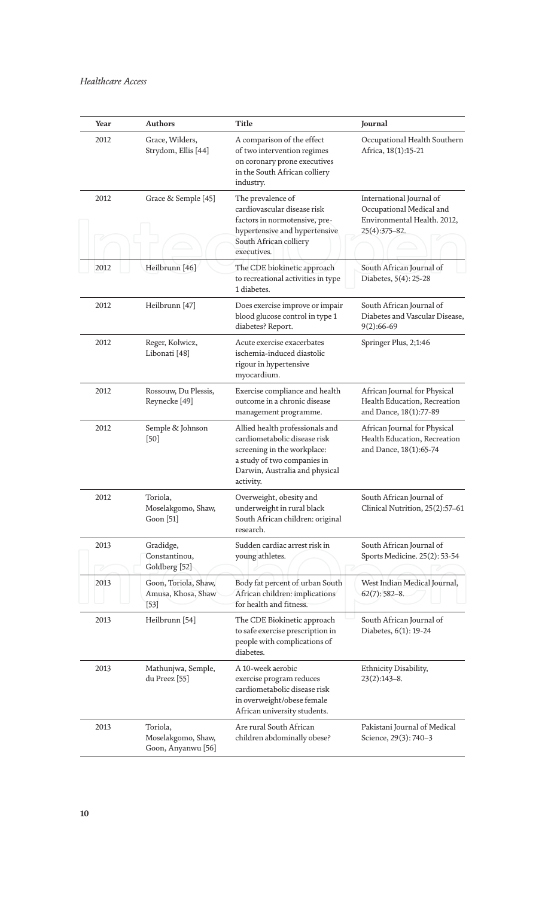| Year | <b>Authors</b>                                       | <b>Title</b>                                                                                                                                                                 | Journal                                                                                              |
|------|------------------------------------------------------|------------------------------------------------------------------------------------------------------------------------------------------------------------------------------|------------------------------------------------------------------------------------------------------|
| 2012 | Grace, Wilders,<br>Strydom, Ellis [44]               | A comparison of the effect<br>of two intervention regimes<br>on coronary prone executives<br>in the South African colliery<br>industry.                                      | Occupational Health Southern<br>Africa, 18(1):15-21                                                  |
| 2012 | Grace & Semple [45]                                  | The prevalence of<br>cardiovascular disease risk<br>factors in normotensive, pre-<br>hypertensive and hypertensive<br>South African colliery<br>executives.                  | International Journal of<br>Occupational Medical and<br>Environmental Health. 2012,<br>25(4):375-82. |
| 2012 | Heilbrunn [46]                                       | The CDE biokinetic approach<br>to recreational activities in type<br>1 diabetes.                                                                                             | South African Journal of<br>Diabetes, 5(4): 25-28                                                    |
| 2012 | Heilbrunn [47]                                       | Does exercise improve or impair<br>blood glucose control in type 1<br>diabetes? Report.                                                                                      | South African Journal of<br>Diabetes and Vascular Disease,<br>$9(2):66-69$                           |
| 2012 | Reger, Kolwicz,<br>Libonati <sup>[48]</sup>          | Acute exercise exacerbates<br>ischemia-induced diastolic<br>rigour in hypertensive<br>myocardium.                                                                            | Springer Plus, 2;1:46                                                                                |
| 2012 | Rossouw, Du Plessis,<br>Reynecke <sup>[49]</sup>     | Exercise compliance and health<br>outcome in a chronic disease<br>management programme.                                                                                      | African Journal for Physical<br>Health Education, Recreation<br>and Dance, 18(1):77-89               |
| 2012 | Semple & Johnson<br>$[50]$                           | Allied health professionals and<br>cardiometabolic disease risk<br>screening in the workplace:<br>a study of two companies in<br>Darwin, Australia and physical<br>activity. | African Journal for Physical<br>Health Education, Recreation<br>and Dance, 18(1):65-74               |
| 2012 | Toriola,<br>Moselakgomo, Shaw,<br>Goon [51]          | Overweight, obesity and<br>underweight in rural black<br>South African children: original<br>research.                                                                       | South African Journal of<br>Clinical Nutrition, 25(2):57-61                                          |
| 2013 | Gradidge,<br>Constantinou,<br>Goldberg [52]          | Sudden cardiac arrest risk in<br>young athletes.                                                                                                                             | South African Journal of<br>Sports Medicine. 25(2): 53-54                                            |
| 2013 | Goon, Toriola, Shaw,<br>Amusa, Khosa, Shaw<br>$[53]$ | Body fat percent of urban South<br>African children: implications<br>for health and fitness.                                                                                 | West Indian Medical Journal,<br>$62(7)$ : 582-8.                                                     |
| 2013 | Heilbrunn [54]                                       | The CDE Biokinetic approach<br>to safe exercise prescription in<br>people with complications of<br>diabetes.                                                                 | South African Journal of<br>Diabetes, 6(1): 19-24                                                    |
| 2013 | Mathunjwa, Semple,<br>du Preez [55]                  | A 10-week aerobic<br>exercise program reduces<br>cardiometabolic disease risk<br>in overweight/obese female<br>African university students.                                  | Ethnicity Disability,<br>$23(2):143-8.$                                                              |
| 2013 | Toriola,<br>Moselakgomo, Shaw,<br>Goon, Anyanwu [56] | Are rural South African<br>children abdominally obese?                                                                                                                       | Pakistani Journal of Medical<br>Science, 29(3): 740-3                                                |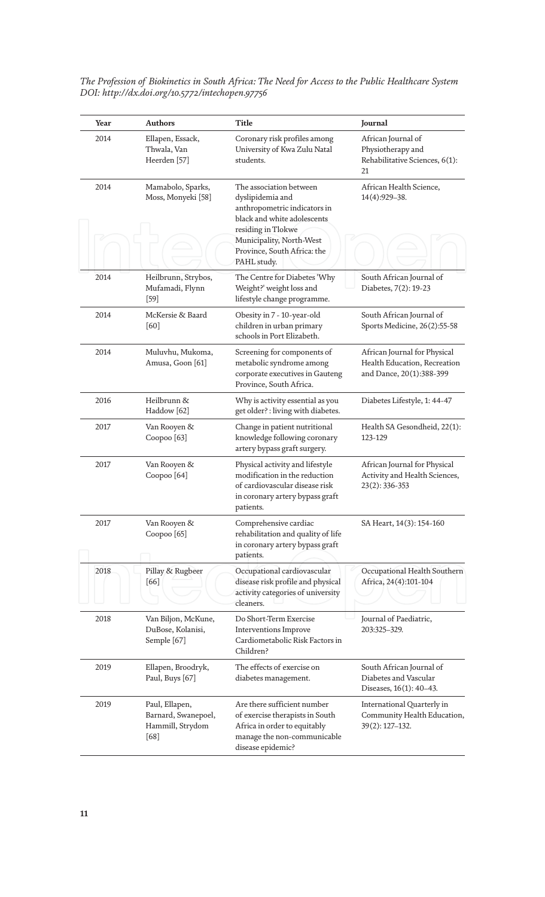| Year | <b>Authors</b>                                                      | Title                                                                                                                                                                                                      | Journal                                                                                  |
|------|---------------------------------------------------------------------|------------------------------------------------------------------------------------------------------------------------------------------------------------------------------------------------------------|------------------------------------------------------------------------------------------|
| 2014 | Ellapen, Essack,<br>Thwala, Van<br>Heerden [57]                     | Coronary risk profiles among<br>University of Kwa Zulu Natal<br>students.                                                                                                                                  | African Journal of<br>Physiotherapy and<br>Rehabilitative Sciences, 6(1):<br>21          |
| 2014 | Mamabolo, Sparks,<br>Moss, Monyeki [58]                             | The association between<br>dyslipidemia and<br>anthropometric indicators in<br>black and white adolescents<br>residing in Tlokwe<br>Municipality, North-West<br>Province, South Africa: the<br>PAHL study. | African Health Science,<br>14(4):929-38.                                                 |
| 2014 | Heilbrunn, Strybos,<br>Mufamadi, Flynn<br>$[59]$                    | The Centre for Diabetes 'Why<br>Weight?' weight loss and<br>lifestyle change programme.                                                                                                                    | South African Journal of<br>Diabetes, 7(2): 19-23                                        |
| 2014 | McKersie & Baard<br>[60]                                            | Obesity in 7 - 10-year-old<br>children in urban primary<br>schools in Port Elizabeth.                                                                                                                      | South African Journal of<br>Sports Medicine, 26(2):55-58                                 |
| 2014 | Muluvhu, Mukoma,<br>Amusa, Goon [61]                                | Screening for components of<br>metabolic syndrome among<br>corporate executives in Gauteng<br>Province, South Africa.                                                                                      | African Journal for Physical<br>Health Education, Recreation<br>and Dance, 20(1):388-399 |
| 2016 | Heilbrunn &<br>Haddow <sup>[62]</sup>                               | Why is activity essential as you<br>get older? : living with diabetes.                                                                                                                                     | Diabetes Lifestyle, 1: 44-47                                                             |
| 2017 | Van Rooyen &<br>Coopoo <sup>[63]</sup>                              | Change in patient nutritional<br>knowledge following coronary<br>artery bypass graft surgery.                                                                                                              | Health SA Gesondheid, 22(1):<br>123-129                                                  |
| 2017 | Van Rooyen &<br>Coopoo <sup>[64]</sup>                              | Physical activity and lifestyle<br>modification in the reduction<br>of cardiovascular disease risk<br>in coronary artery bypass graft<br>patients.                                                         | African Journal for Physical<br>Activity and Health Sciences,<br>23(2): 336-353          |
| 2017 | Van Rooyen &<br>Coopoo <sup>[65]</sup>                              | Comprehensive cardiac<br>rehabilitation and quality of life<br>in coronary artery bypass graft<br>patients.                                                                                                | SA Heart, 14(3): 154-160                                                                 |
| 2018 | Pillay & Rugbeer<br>[66]                                            | Occupational cardiovascular<br>disease risk profile and physical<br>activity categories of university<br>cleaners.                                                                                         | Occupational Health Southern<br>Africa, 24(4):101-104                                    |
| 2018 | Van Biljon, McKune,<br>DuBose, Kolanisi,<br>Semple [67]             | Do Short-Term Exercise<br>Interventions Improve<br>Cardiometabolic Risk Factors in<br>Children?                                                                                                            | Journal of Paediatric,<br>203:325-329.                                                   |
| 2019 | Ellapen, Broodryk,<br>Paul, Buys [67]                               | The effects of exercise on<br>diabetes management.                                                                                                                                                         | South African Journal of<br>Diabetes and Vascular<br>Diseases, 16(1): 40-43.             |
| 2019 | Paul, Ellapen,<br>Barnard, Swanepoel,<br>Hammill, Strydom<br>$[68]$ | Are there sufficient number<br>of exercise therapists in South<br>Africa in order to equitably<br>manage the non-communicable<br>disease epidemic?                                                         | International Quarterly in<br>Community Health Education,<br>$39(2): 127 - 132.$         |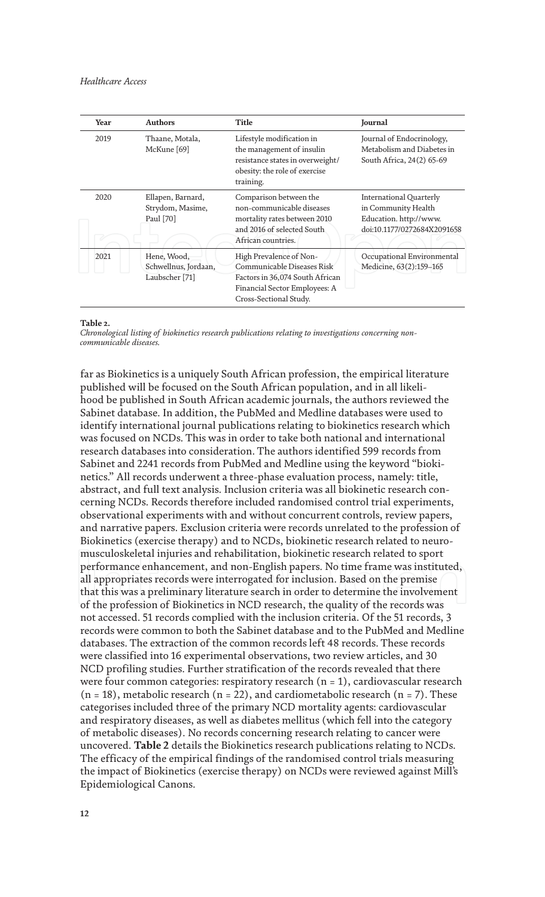| Year | <b>Authors</b>                                        | Title                                                                                                                                               | Journal                                                                                                 |
|------|-------------------------------------------------------|-----------------------------------------------------------------------------------------------------------------------------------------------------|---------------------------------------------------------------------------------------------------------|
| 2019 | Thaane, Motala,<br>McKune [69]                        | Lifestyle modification in<br>the management of insulin<br>resistance states in overweight/<br>obesity: the role of exercise<br>training.            | Journal of Endocrinology,<br>Metabolism and Diabetes in<br>South Africa, 24(2) 65-69                    |
| 2020 | Ellapen, Barnard,<br>Strydom, Masime,<br>Paul [70]    | Comparison between the<br>non-communicable diseases<br>mortality rates between 2010<br>and 2016 of selected South<br>African countries.             | International Quarterly<br>in Community Health<br>Education. http://www.<br>doi:10.1177/0272684X2091658 |
| 2021 | Hene, Wood,<br>Schwellnus, Jordaan,<br>Laubscher [71] | High Prevalence of Non-<br>Communicable Diseases Risk<br>Factors in 36,074 South African<br>Financial Sector Employees: A<br>Cross-Sectional Study. | Occupational Environmental<br>Medicine, 63(2):159-165                                                   |

#### **Table 2.**

*Chronological listing of biokinetics research publications relating to investigations concerning noncommunicable diseases.*

far as Biokinetics is a uniquely South African profession, the empirical literature published will be focused on the South African population, and in all likelihood be published in South African academic journals, the authors reviewed the Sabinet database. In addition, the PubMed and Medline databases were used to identify international journal publications relating to biokinetics research which was focused on NCDs. This was in order to take both national and international research databases into consideration. The authors identified 599 records from Sabinet and 2241 records from PubMed and Medline using the keyword "biokinetics." All records underwent a three-phase evaluation process, namely: title, abstract, and full text analysis. Inclusion criteria was all biokinetic research concerning NCDs. Records therefore included randomised control trial experiments, observational experiments with and without concurrent controls, review papers, and narrative papers. Exclusion criteria were records unrelated to the profession of Biokinetics (exercise therapy) and to NCDs, biokinetic research related to neuromusculoskeletal injuries and rehabilitation, biokinetic research related to sport performance enhancement, and non-English papers. No time frame was instituted, all appropriates records were interrogated for inclusion. Based on the premise that this was a preliminary literature search in order to determine the involvement of the profession of Biokinetics in NCD research, the quality of the records was not accessed. 51 records complied with the inclusion criteria. Of the 51 records, 3 records were common to both the Sabinet database and to the PubMed and Medline databases. The extraction of the common records left 48 records. These records were classified into 16 experimental observations, two review articles, and 30 NCD profiling studies. Further stratification of the records revealed that there were four common categories: respiratory research (n = 1), cardiovascular research  $(n = 18)$ , metabolic research  $(n = 22)$ , and cardiometabolic research  $(n = 7)$ . These categorises included three of the primary NCD mortality agents: cardiovascular and respiratory diseases, as well as diabetes mellitus (which fell into the category of metabolic diseases). No records concerning research relating to cancer were uncovered. **Table 2** details the Biokinetics research publications relating to NCDs. The efficacy of the empirical findings of the randomised control trials measuring the impact of Biokinetics (exercise therapy) on NCDs were reviewed against Mill's Epidemiological Canons.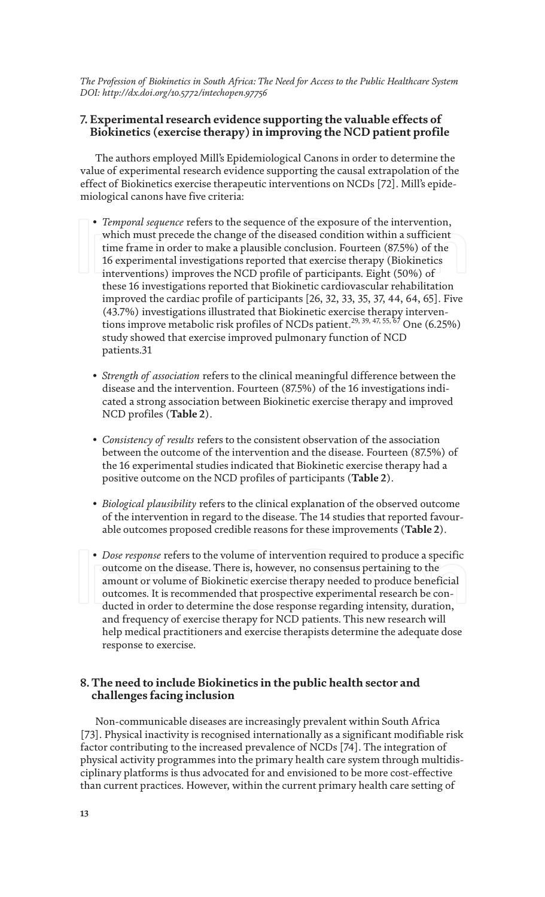#### **7. Experimental research evidence supporting the valuable effects of Biokinetics (exercise therapy) in improving the NCD patient profile**

The authors employed Mill's Epidemiological Canons in order to determine the value of experimental research evidence supporting the causal extrapolation of the effect of Biokinetics exercise therapeutic interventions on NCDs [72]. Mill's epidemiological canons have five criteria:

- *Temporal sequence* refers to the sequence of the exposure of the intervention, which must precede the change of the diseased condition within a sufficient time frame in order to make a plausible conclusion. Fourteen (87.5%) of the 16 experimental investigations reported that exercise therapy (Biokinetics interventions) improves the NCD profile of participants. Eight (50%) of these 16 investigations reported that Biokinetic cardiovascular rehabilitation improved the cardiac profile of participants [26, 32, 33, 35, 37, 44, 64, 65]. Five (43.7%) investigations illustrated that Biokinetic exercise therapy interventions improve metabolic risk profiles of NCDs patient.<sup>29, 39, 47, 55,  $67$ </sup> One (6.25%) study showed that exercise improved pulmonary function of NCD patients.31
- *Strength of association* refers to the clinical meaningful difference between the disease and the intervention. Fourteen (87.5%) of the 16 investigations indicated a strong association between Biokinetic exercise therapy and improved NCD profiles (**Table 2**).
- *Consistency of results* refers to the consistent observation of the association between the outcome of the intervention and the disease. Fourteen (87.5%) of the 16 experimental studies indicated that Biokinetic exercise therapy had a positive outcome on the NCD profiles of participants (**Table 2**).
- *Biological plausibility* refers to the clinical explanation of the observed outcome of the intervention in regard to the disease. The 14 studies that reported favourable outcomes proposed credible reasons for these improvements (**Table 2**).
- *Dose response* refers to the volume of intervention required to produce a specific outcome on the disease. There is, however, no consensus pertaining to the amount or volume of Biokinetic exercise therapy needed to produce beneficial outcomes. It is recommended that prospective experimental research be conducted in order to determine the dose response regarding intensity, duration, and frequency of exercise therapy for NCD patients. This new research will help medical practitioners and exercise therapists determine the adequate dose response to exercise.

#### **8. The need to include Biokinetics in the public health sector and challenges facing inclusion**

Non-communicable diseases are increasingly prevalent within South Africa [73]. Physical inactivity is recognised internationally as a significant modifiable risk factor contributing to the increased prevalence of NCDs [74]. The integration of physical activity programmes into the primary health care system through multidisciplinary platforms is thus advocated for and envisioned to be more cost-effective than current practices. However, within the current primary health care setting of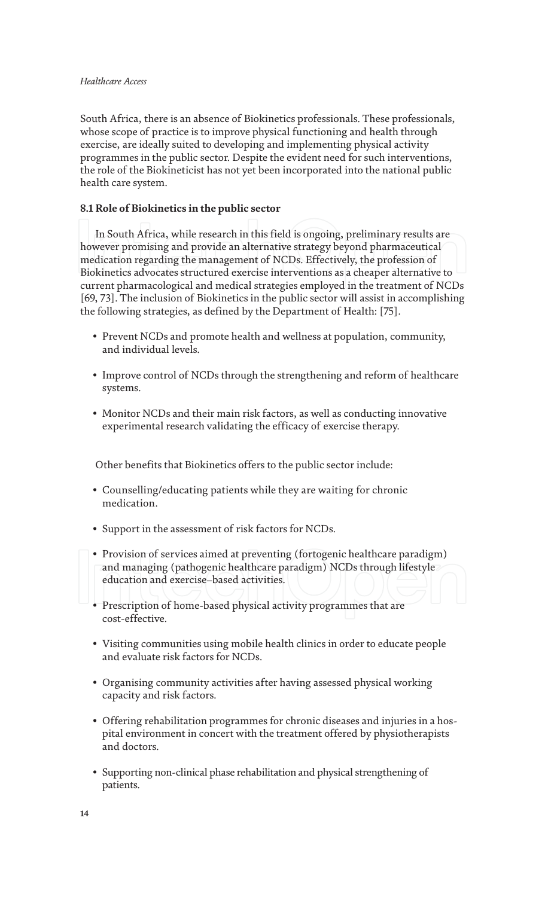#### *Healthcare Access*

South Africa, there is an absence of Biokinetics professionals. These professionals, whose scope of practice is to improve physical functioning and health through exercise, are ideally suited to developing and implementing physical activity programmes in the public sector. Despite the evident need for such interventions, the role of the Biokineticist has not yet been incorporated into the national public health care system.

#### **8.1 Role of Biokinetics in the public sector**

In South Africa, while research in this field is ongoing, preliminary results are however promising and provide an alternative strategy beyond pharmaceutical medication regarding the management of NCDs. Effectively, the profession of Biokinetics advocates structured exercise interventions as a cheaper alternative to current pharmacological and medical strategies employed in the treatment of NCDs [69, 73]. The inclusion of Biokinetics in the public sector will assist in accomplishing the following strategies, as defined by the Department of Health: [75].

- Prevent NCDs and promote health and wellness at population, community, and individual levels.
- Improve control of NCDs through the strengthening and reform of healthcare systems.
- Monitor NCDs and their main risk factors, as well as conducting innovative experimental research validating the efficacy of exercise therapy.

Other benefits that Biokinetics offers to the public sector include:

- Counselling/educating patients while they are waiting for chronic medication.
- Support in the assessment of risk factors for NCDs.
- Provision of services aimed at preventing (fortogenic healthcare paradigm) and managing (pathogenic healthcare paradigm) NCDs through lifestyle education and exercise–based activities.
- Prescription of home-based physical activity programmes that are cost-effective.
- Visiting communities using mobile health clinics in order to educate people and evaluate risk factors for NCDs.
- Organising community activities after having assessed physical working capacity and risk factors.
- Offering rehabilitation programmes for chronic diseases and injuries in a hospital environment in concert with the treatment offered by physiotherapists and doctors.
- Supporting non-clinical phase rehabilitation and physical strengthening of patients.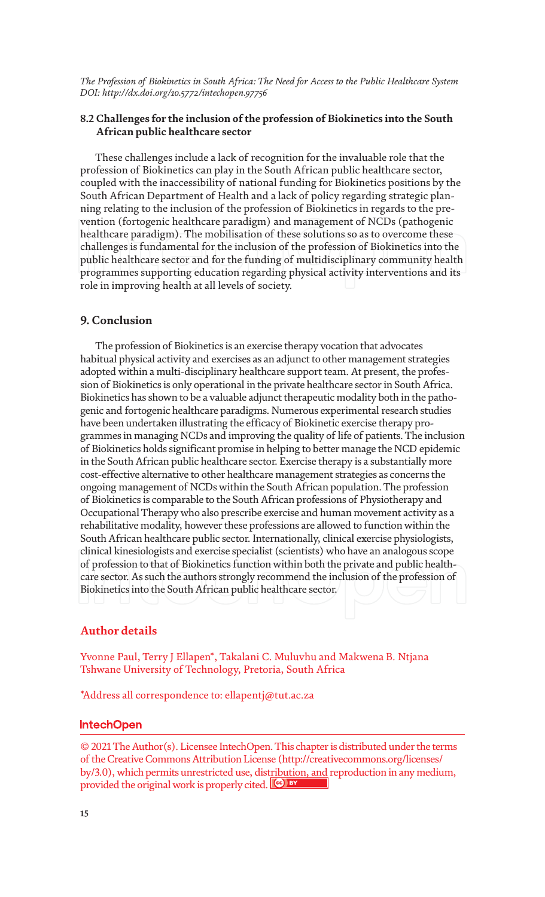#### **8.2 Challenges for the inclusion of the profession of Biokinetics into the South African public healthcare sector**

These challenges include a lack of recognition for the invaluable role that the profession of Biokinetics can play in the South African public healthcare sector, coupled with the inaccessibility of national funding for Biokinetics positions by the South African Department of Health and a lack of policy regarding strategic planning relating to the inclusion of the profession of Biokinetics in regards to the prevention (fortogenic healthcare paradigm) and management of NCDs (pathogenic healthcare paradigm). The mobilisation of these solutions so as to overcome these challenges is fundamental for the inclusion of the profession of Biokinetics into the public healthcare sector and for the funding of multidisciplinary community health programmes supporting education regarding physical activity interventions and its role in improving health at all levels of society.

#### **9. Conclusion**

The profession of Biokinetics is an exercise therapy vocation that advocates habitual physical activity and exercises as an adjunct to other management strategies adopted within a multi-disciplinary healthcare support team. At present, the profession of Biokinetics is only operational in the private healthcare sector in South Africa. Biokinetics has shown to be a valuable adjunct therapeutic modality both in the pathogenic and fortogenic healthcare paradigms. Numerous experimental research studies have been undertaken illustrating the efficacy of Biokinetic exercise therapy programmes in managing NCDs and improving the quality of life of patients. The inclusion of Biokinetics holds significant promise in helping to better manage the NCD epidemic in the South African public healthcare sector. Exercise therapy is a substantially more cost-effective alternative to other healthcare management strategies as concerns the ongoing management of NCDs within the South African population. The profession of Biokinetics is comparable to the South African professions of Physiotherapy and Occupational Therapy who also prescribe exercise and human movement activity as a rehabilitative modality, however these professions are allowed to function within the South African healthcare public sector. Internationally, clinical exercise physiologists, clinical kinesiologists and exercise specialist (scientists) who have an analogous scope of profession to that of Biokinetics function within both the private and public healthcare sector. As such the authors strongly recommend the inclusion of the profession of Biokinetics into the South African public healthcare sector.

#### **Author details**

Yvonne Paul, Terry J Ellapen\*, Takalani C. Muluvhu and Makwena B. Ntjana Tshwane University of Technology, Pretoria, South Africa

\*Address all correspondence to: ellapentj@tut.ac.za

#### **IntechOpen**

© 2021 The Author(s). Licensee IntechOpen. This chapter is distributed under the terms of the Creative Commons Attribution License (http://creativecommons.org/licenses/ by/3.0), which permits unrestricted use, distribution, and reproduction in any medium, provided the original work is properly cited. Cco BY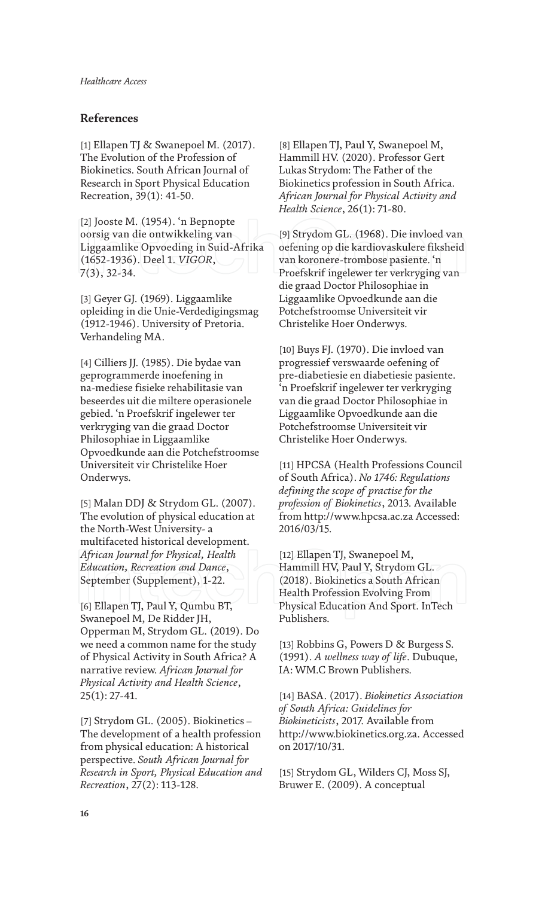### **References**

[1] Ellapen TJ & Swanepoel M. (2017). The Evolution of the Profession of Biokinetics. South African Journal of Research in Sport Physical Education Recreation, 39(1): 41-50.

[2] Jooste M. (1954). 'n Bepnopte oorsig van die ontwikkeling van Liggaamlike Opvoeding in Suid-Afrika (1652-1936). Deel 1. *VIGOR*, 7(3), 32-34.

[3] Geyer GJ. (1969). Liggaamlike opleiding in die Unie-Verdedigingsmag (1912-1946). University of Pretoria. Verhandeling MA.

[4] Cilliers JJ. (1985). Die bydae van geprogrammerde inoefening in na-mediese fisieke rehabilitasie van beseerdes uit die miltere operasionele gebied. 'n Proefskrif ingelewer ter verkryging van die graad Doctor Philosophiae in Liggaamlike Opvoedkunde aan die Potchefstroomse Universiteit vir Christelike Hoer Onderwys.

[5] Malan DDJ & Strydom GL. (2007). The evolution of physical education at the North-West University- a multifaceted historical development. *African Journal for Physical, Health Education, Recreation and Dance*, September (Supplement), 1-22.

[6] Ellapen TJ, Paul Y, Qumbu BT, Swanepoel M, De Ridder JH, Opperman M, Strydom GL. (2019). Do we need a common name for the study of Physical Activity in South Africa? A narrative review. *African Journal for Physical Activity and Health Science*, 25(1): 27-41.

[7] Strydom GL. (2005). Biokinetics – The development of a health profession from physical education: A historical perspective. *South African Journal for Research in Sport, Physical Education and Recreation*, 27(2): 113-128.

[8] Ellapen TJ, Paul Y, Swanepoel M, Hammill HV. (2020). Professor Gert Lukas Strydom: The Father of the Biokinetics profession in South Africa. *African Journal for Physical Activity and Health Science*, 26(1): 71-80.

[9] Strydom GL. (1968). Die invloed van oefening op die kardiovaskulere fiksheid van koronere-trombose pasiente. 'n Proefskrif ingelewer ter verkryging van die graad Doctor Philosophiae in Liggaamlike Opvoedkunde aan die Potchefstroomse Universiteit vir Christelike Hoer Onderwys.

[10] Buys FJ. (1970). Die invloed van progressief verswaarde oefening of pre-diabetiesie en diabetiesie pasiente. 'n Proefskrif ingelewer ter verkryging van die graad Doctor Philosophiae in Liggaamlike Opvoedkunde aan die Potchefstroomse Universiteit vir Christelike Hoer Onderwys.

[11] HPCSA (Health Professions Council of South Africa). *No 1746: Regulations defining the scope of practise for the profession of Biokinetics*, 2013. Available from http://www.hpcsa.ac.za Accessed: 2016/03/15.

[12] Ellapen TJ, Swanepoel M, Hammill HV, Paul Y, Strydom GL. (2018). Biokinetics a South African Health Profession Evolving From Physical Education And Sport. InTech Publishers.

[13] Robbins G, Powers D & Burgess S. (1991). *A wellness way of life*. Dubuque, IA: WM.C Brown Publishers.

[14] BASA. (2017). *Biokinetics Association of South Africa: Guidelines for Biokineticists*, 2017. Available from http://www.biokinetics.org.za. Accessed on 2017/10/31.

[15] Strydom GL, Wilders CJ, Moss SJ, Bruwer E. (2009). A conceptual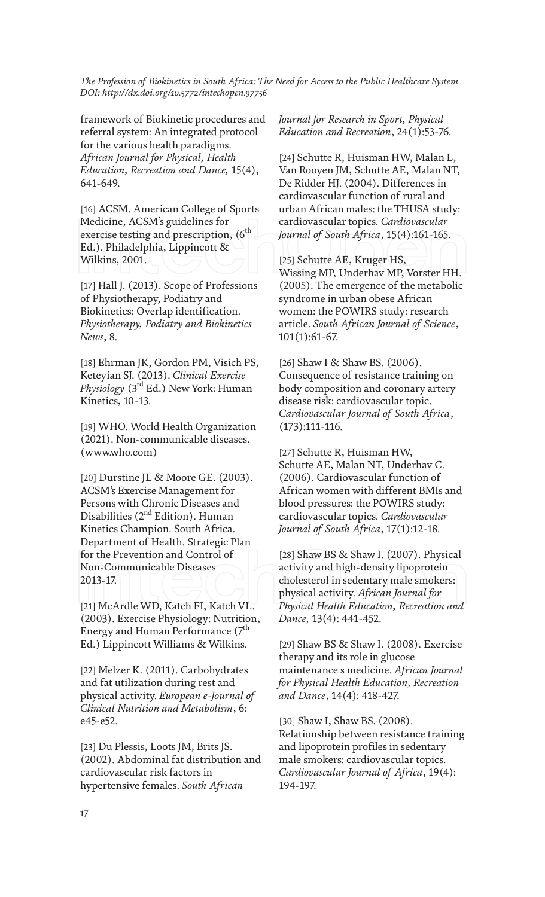framework of Biokinetic procedures and referral system: An integrated protocol for the various health paradigms. *African Journal for Physical, Health Education, Recreation and Dance,* 15(4), 641-649.

[16] ACSM. American College of Sports Medicine, ACSM's guidelines for exercise testing and prescription,  $(6<sup>th</sup>$ Ed.). Philadelphia, Lippincott & Wilkins, 2001.

[17] Hall J. (2013). Scope of Professions of Physiotherapy, Podiatry and Biokinetics: Overlap identification. *Physiotherapy, Podiatry and Biokinetics News*, 8.

[18] Ehrman JK, Gordon PM, Visich PS, Keteyian SJ. (2013). *Clinical Exercise Physiology* (3rd Ed.) New York: Human Kinetics, 10-13.

[19] WHO. World Health Organization (2021). Non-communicable diseases. (www.who.com)

[20] Durstine JL & Moore GE. (2003). ACSM's Exercise Management for Persons with Chronic Diseases and Disabilities (2<sup>nd</sup> Edition). Human Kinetics Champion. South Africa. Department of Health. Strategic Plan for the Prevention and Control of Non-Communicable Diseases 2013-17.

[21] McArdle WD, Katch FI, Katch VL. (2003). Exercise Physiology: Nutrition, Energy and Human Performance  $(7<sup>th</sup>$ Ed.) Lippincott Williams & Wilkins.

[22] Melzer K. (2011). Carbohydrates and fat utilization during rest and physical activity. *European e-Journal of Clinical Nutrition and Metabolism*, 6: e45-e52.

[23] Du Plessis, Loots JM, Brits JS. (2002). Abdominal fat distribution and cardiovascular risk factors in hypertensive females. *South African* 

*Journal for Research in Sport, Physical Education and Recreation*, 24(1):53-76.

[24] Schutte R, Huisman HW, Malan L, Van Rooyen JM, Schutte AE, Malan NT, De Ridder HJ. (2004). Differences in cardiovascular function of rural and urban African males: the THUSA study: cardiovascular topics. *Cardiovascular Journal of South Africa*, 15(4):161-165.

[25] Schutte AE, Kruger HS, Wissing MP, Underhav MP, Vorster HH. (2005). The emergence of the metabolic syndrome in urban obese African women: the POWIRS study: research article. *South African Journal of Science*, 101(1):61-67.

[26] Shaw I & Shaw BS. (2006). Consequence of resistance training on body composition and coronary artery disease risk: cardiovascular topic. *Cardiovascular Journal of South Africa*, (173):111-116.

[27] Schutte R, Huisman HW, Schutte AE, Malan NT, Underhav C. (2006). Cardiovascular function of African women with different BMIs and blood pressures: the POWIRS study: cardiovascular topics. *Cardiovascular Journal of South Africa*, 17(1):12-18.

[28] Shaw BS & Shaw I. (2007). Physical activity and high-density lipoprotein cholesterol in sedentary male smokers: physical activity. *African Journal for Physical Health Education, Recreation and Dance,* 13(4): 441-452.

[29] Shaw BS & Shaw I. (2008). Exercise therapy and its role in glucose maintenance s medicine. *African Journal for Physical Health Education, Recreation and Dance*, 14(4): 418-427.

[30] Shaw I, Shaw BS. (2008). Relationship between resistance training and lipoprotein profiles in sedentary male smokers: cardiovascular topics. *Cardiovascular Journal of Africa*, 19(4): 194-197.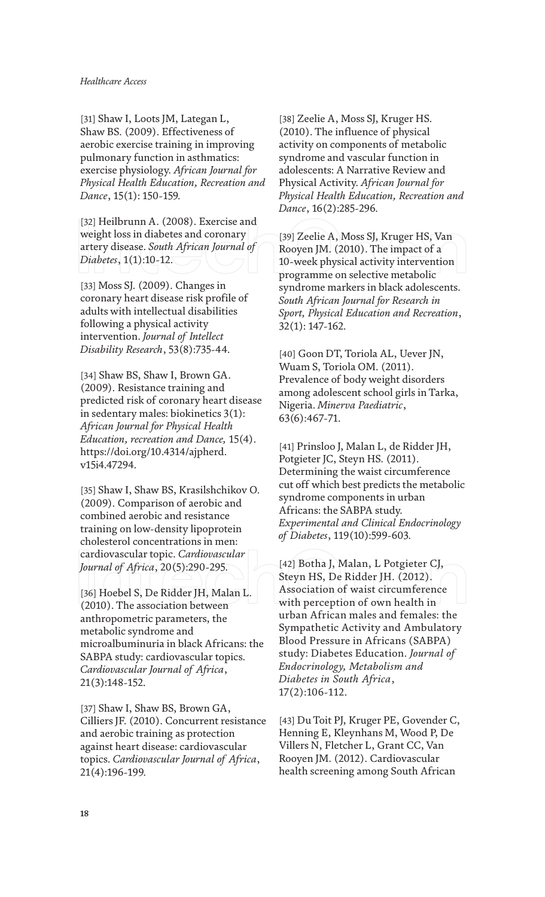[31] Shaw I, Loots JM, Lategan L, Shaw BS. (2009). Effectiveness of aerobic exercise training in improving pulmonary function in asthmatics: exercise physiology. *African Journal for Physical Health Education, Recreation and Dance*, 15(1): 150-159.

[32] Heilbrunn A. (2008). Exercise and weight loss in diabetes and coronary artery disease. *South African Journal of Diabetes*, 1(1):10-12.

[33] Moss SJ. (2009). Changes in coronary heart disease risk profile of adults with intellectual disabilities following a physical activity intervention. *Journal of Intellect Disability Research*, 53(8):735-44.

[34] Shaw BS, Shaw I, Brown GA. (2009). Resistance training and predicted risk of coronary heart disease in sedentary males: biokinetics 3(1): *African Journal for Physical Health Education, recreation and Dance,* 15(4). https://doi.org/10.4314/ajpherd. v15i4.47294.

[35] Shaw I, Shaw BS, Krasilshchikov O. (2009). Comparison of aerobic and combined aerobic and resistance training on low-density lipoprotein cholesterol concentrations in men: cardiovascular topic. *Cardiovascular Journal of Africa*, 20(5):290-295.

[36] Hoebel S, De Ridder JH, Malan L. (2010). The association between anthropometric parameters, the metabolic syndrome and microalbuminuria in black Africans: the SABPA study: cardiovascular topics. *Cardiovascular Journal of Africa*, 21(3):148-152.

[37] Shaw I, Shaw BS, Brown GA, Cilliers JF. (2010). Concurrent resistance and aerobic training as protection against heart disease: cardiovascular topics. *Cardiovascular Journal of Africa*, 21(4):196-199.

[38] Zeelie A, Moss SJ, Kruger HS. (2010). The influence of physical activity on components of metabolic syndrome and vascular function in adolescents: A Narrative Review and Physical Activity. *African Journal for Physical Health Education, Recreation and Dance*, 16(2):285-296.

[39] Zeelie A, Moss SJ, Kruger HS, Van Rooyen JM. (2010). The impact of a 10-week physical activity intervention programme on selective metabolic syndrome markers in black adolescents. *South African Journal for Research in Sport, Physical Education and Recreation*, 32(1): 147-162.

[40] Goon DT, Toriola AL, Uever JN, Wuam S, Toriola OM. (2011). Prevalence of body weight disorders among adolescent school girls in Tarka, Nigeria. *Minerva Paediatric*, 63(6):467-71.

[41] Prinsloo J, Malan L, de Ridder JH, Potgieter JC, Steyn HS. (2011). Determining the waist circumference cut off which best predicts the metabolic syndrome components in urban Africans: the SABPA study. *Experimental and Clinical Endocrinology of Diabetes*, 119(10):599-603.

[42] Botha J, Malan, L Potgieter CJ, Steyn HS, De Ridder JH. (2012). Association of waist circumference with perception of own health in urban African males and females: the Sympathetic Activity and Ambulatory Blood Pressure in Africans (SABPA) study: Diabetes Education. *Journal of Endocrinology, Metabolism and Diabetes in South Africa*, 17(2):106-112.

[43] Du Toit PJ, Kruger PE, Govender C, Henning E, Kleynhans M, Wood P, De Villers N, Fletcher L, Grant CC, Van Rooyen JM. (2012). Cardiovascular health screening among South African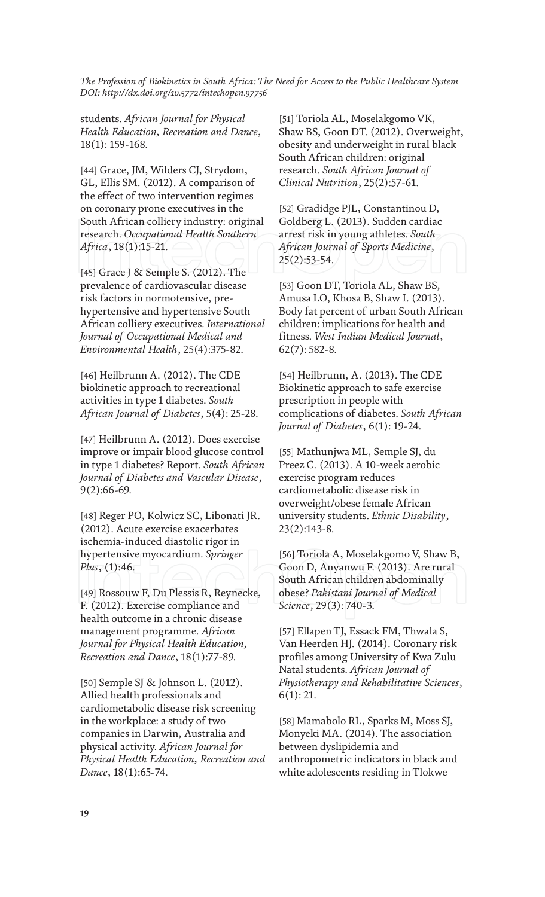students. *African Journal for Physical Health Education, Recreation and Dance*, 18(1): 159-168.

[44] Grace, JM, Wilders CJ, Strydom, GL, Ellis SM. (2012). A comparison of the effect of two intervention regimes on coronary prone executives in the South African colliery industry: original research. *Occupational Health Southern Africa*, 18(1):15-21.

[45] Grace J & Semple S. (2012). The prevalence of cardiovascular disease risk factors in normotensive, prehypertensive and hypertensive South African colliery executives. *International Journal of Occupational Medical and Environmental Health*, 25(4):375-82.

[46] Heilbrunn A. (2012). The CDE biokinetic approach to recreational activities in type 1 diabetes. *South African Journal of Diabetes*, 5(4): 25-28.

[47] Heilbrunn A. (2012). Does exercise improve or impair blood glucose control in type 1 diabetes? Report. *South African Journal of Diabetes and Vascular Disease*, 9(2):66-69.

[48] Reger PO, Kolwicz SC, Libonati JR. (2012). Acute exercise exacerbates ischemia-induced diastolic rigor in hypertensive myocardium. *Springer Plus*, (1):46.

[49] Rossouw F, Du Plessis R, Reynecke, F. (2012). Exercise compliance and health outcome in a chronic disease management programme. *African Journal for Physical Health Education, Recreation and Dance*, 18(1):77-89.

[50] Semple SJ & Johnson L. (2012). Allied health professionals and cardiometabolic disease risk screening in the workplace: a study of two companies in Darwin, Australia and physical activity. *African Journal for Physical Health Education, Recreation and Dance*, 18(1):65-74.

[51] Toriola AL, Moselakgomo VK, Shaw BS, Goon DT. (2012). Overweight, obesity and underweight in rural black South African children: original research. *South African Journal of Clinical Nutrition*, 25(2):57-61.

[52] Gradidge PJL, Constantinou D, Goldberg L. (2013). Sudden cardiac arrest risk in young athletes. *South African Journal of Sports Medicine*, 25(2):53-54.

[53] Goon DT, Toriola AL, Shaw BS, Amusa LO, Khosa B, Shaw I. (2013). Body fat percent of urban South African children: implications for health and fitness. *West Indian Medical Journal*, 62(7): 582-8.

[54] Heilbrunn, A. (2013). The CDE Biokinetic approach to safe exercise prescription in people with complications of diabetes. *South African Journal of Diabetes*, 6(1): 19-24.

[55] Mathunjwa ML, Semple SJ, du Preez C. (2013). A 10-week aerobic exercise program reduces cardiometabolic disease risk in overweight/obese female African university students. *Ethnic Disability*, 23(2):143-8.

[56] Toriola A, Moselakgomo V, Shaw B, Goon D, Anyanwu F. (2013). Are rural South African children abdominally obese? *Pakistani Journal of Medical Science*, 29(3): 740-3.

[57] Ellapen TJ, Essack FM, Thwala S, Van Heerden HJ. (2014). Coronary risk profiles among University of Kwa Zulu Natal students. *African Journal of Physiotherapy and Rehabilitative Sciences*, 6(1): 21.

[58] Mamabolo RL, Sparks M, Moss SJ, Monyeki MA. (2014). The association between dyslipidemia and anthropometric indicators in black and white adolescents residing in Tlokwe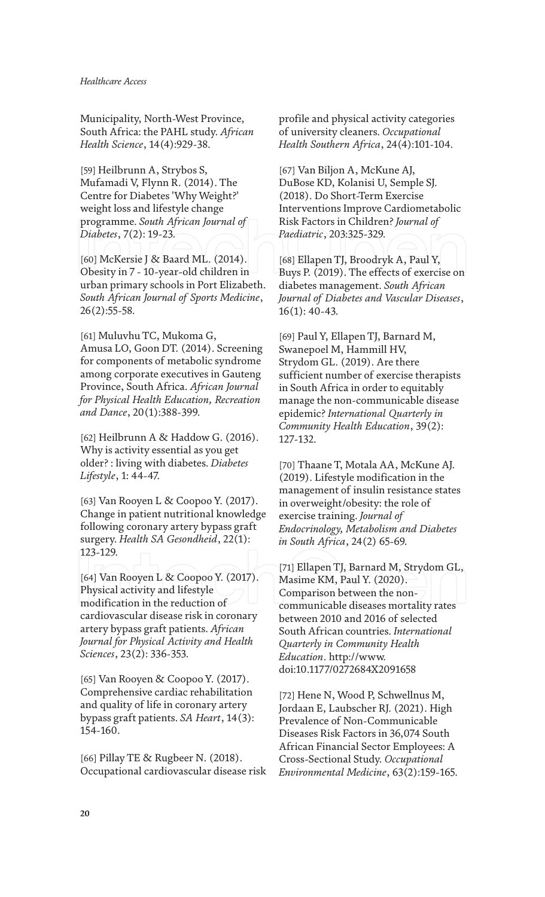Municipality, North-West Province, South Africa: the PAHL study. *African Health Science*, 14(4):929-38.

[59] Heilbrunn A, Strybos S, Mufamadi V, Flynn R. (2014). The Centre for Diabetes 'Why Weight?' weight loss and lifestyle change programme. *South African Journal of Diabetes*, 7(2): 19-23.

[60] McKersie J & Baard ML. (2014). Obesity in 7 - 10-year-old children in urban primary schools in Port Elizabeth. *South African Journal of Sports Medicine*, 26(2):55-58.

[61] Muluvhu TC, Mukoma G, Amusa LO, Goon DT. (2014). Screening for components of metabolic syndrome among corporate executives in Gauteng Province, South Africa. *African Journal for Physical Health Education, Recreation and Dance*, 20(1):388-399.

[62] Heilbrunn A & Haddow G. (2016). Why is activity essential as you get older? : living with diabetes. *Diabetes Lifestyle*, 1: 44-47.

[63] Van Rooyen L & Coopoo Y. (2017). Change in patient nutritional knowledge following coronary artery bypass graft surgery. *Health SA Gesondheid*, 22(1): 123-129.

[64] Van Rooyen L & Coopoo Y. (2017). Physical activity and lifestyle modification in the reduction of cardiovascular disease risk in coronary artery bypass graft patients. *African Journal for Physical Activity and Health Sciences*, 23(2): 336-353.

[65] Van Rooyen & Coopoo Y. (2017). Comprehensive cardiac rehabilitation and quality of life in coronary artery bypass graft patients. *SA Heart*, 14(3): 154-160.

[66] Pillay TE & Rugbeer N. (2018). Occupational cardiovascular disease risk profile and physical activity categories of university cleaners. *Occupational Health Southern Africa*, 24(4):101-104.

[67] Van Biljon A, McKune AJ, DuBose KD, Kolanisi U, Semple SJ. (2018). Do Short-Term Exercise Interventions Improve Cardiometabolic Risk Factors in Children? *Journal of Paediatric*, 203:325-329.

[68] Ellapen TJ, Broodryk A, Paul Y, Buys P. (2019). The effects of exercise on diabetes management. *South African Journal of Diabetes and Vascular Diseases*, 16(1): 40-43.

[69] Paul Y, Ellapen TJ, Barnard M, Swanepoel M, Hammill HV, Strydom GL. (2019). Are there sufficient number of exercise therapists in South Africa in order to equitably manage the non-communicable disease epidemic? *International Quarterly in Community Health Education*, 39(2): 127-132.

[70] Thaane T, Motala AA, McKune AJ. (2019). Lifestyle modification in the management of insulin resistance states in overweight/obesity: the role of exercise training. *Journal of Endocrinology, Metabolism and Diabetes in South Africa*, 24(2) 65-69.

[71] Ellapen TJ, Barnard M, Strydom GL, Masime KM, Paul Y. (2020). Comparison between the noncommunicable diseases mortality rates between 2010 and 2016 of selected South African countries. *International Quarterly in Community Health Education*. http://www. doi:10.1177/0272684X2091658

[72] Hene N, Wood P, Schwellnus M, Jordaan E, Laubscher RJ. (2021). High Prevalence of Non-Communicable Diseases Risk Factors in 36,074 South African Financial Sector Employees: A Cross-Sectional Study. *Occupational Environmental Medicine*, 63(2):159-165.